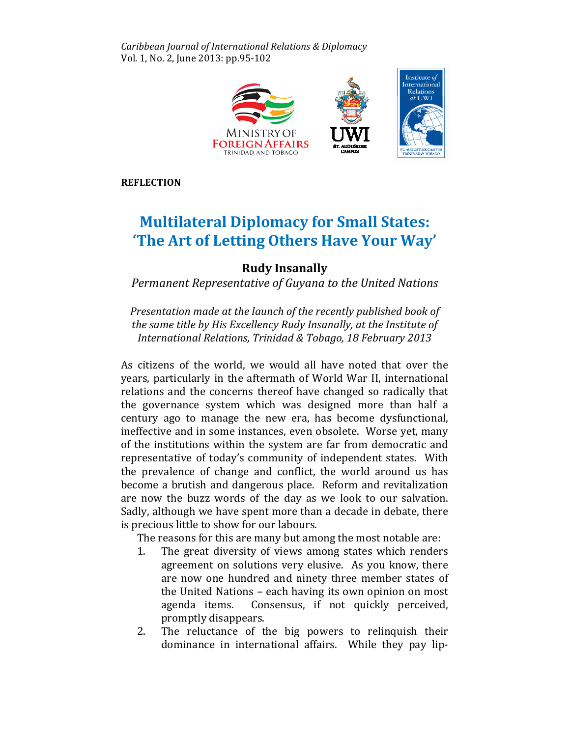Caribbean Journal of International Relations & & Diplomacy Vol. 1, No. 2, June 2013: pp.95-102



**REFLECTION** 

## **Multilateral Diplomacy for Small States:** 'The Art of Letting Others Have Your Way'

## Rudy Insanally

Permanent Representative of Guyana to the United Nations

Presentation made at the launch of the recently published book of the same title by His Excellency Rudy Insanally, at the Institute of International Relations, Trinidad & Tobago, 18 February 2013

As citizens of the world, we would all have noted that over the years, particularly in the aftermath of World War II, international relations and the concerns thereof have changed so radically that the governance system which was designed more than half a century ago to manage the new era, has become dysfunctional, ineffective and in some instances, even obsolete. Worse yet, many of the institutions within the system are far from democratic and representative of today's community of independent states. With With the prevalence of change and conflict, the world around us has become a brutish and dangerous place. Reform and revitalization are now the buzz words of the day as we look to our salvation. Sadly, although we have spent more than a decade in debate, there is precious little to show for our labours. labours.

The reasons for this are many but among the most notable are:

- The reasons for this are many but among the most notable are:<br>1. The great diversity of views among states which renders agreement on solutions very elusive. As you know, there know, there are now one hundred and ninety three member states of the United Nations - each having its own opinion on most agenda items. Consensus, if not quickly perceived, promptly disappears. agenda items. Consensus, if not quickly perceived,<br>promptly disappears.<br>2. The reluctance of the big powers to relinquish their
- dominance in international affairs. While they pay lip-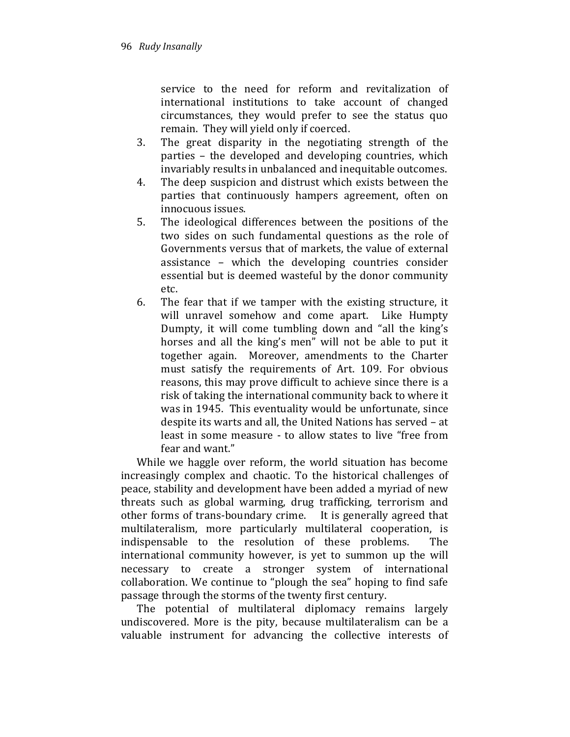service to the need for reform and revitalization of international institutions to take account of changed circumstances, they would prefer to see the status quo remain. They will yield only if coerced.

- 3. The great disparity in the negotiating strength of the parties – the developed and developing countries, which invariably results in unbalanced and inequitable outcomes.
- 4. The deep suspicion and distrust which exists between the parties that continuously hampers agreement, often on innocuous issues.
- 5. The ideological differences between the positions of the two sides on such fundamental questions as the role of Governments versus that of markets, the value of external assistance – which the developing countries consider essential but is deemed wasteful by the donor community etc.
- 6. The fear that if we tamper with the existing structure, it will unravel somehow and come apart. Like Humpty Dumpty, it will come tumbling down and "all the king's horses and all the king's men" will not be able to put it together again. Moreover, amendments to the Charter must satisfy the requirements of Art. 109. For obvious reasons, this may prove difficult to achieve since there is a risk of taking the international community back to where it was in 1945. This eventuality would be unfortunate, since despite its warts and all, the United Nations has served – at least in some measure - to allow states to live "free from fear and want."

While we haggle over reform, the world situation has become increasingly complex and chaotic. To the historical challenges of peace, stability and development have been added a myriad of new threats such as global warming, drug trafficking, terrorism and other forms of trans-boundary crime. It is generally agreed that multilateralism, more particularly multilateral cooperation, is indispensable to the resolution of these problems. The international community however, is yet to summon up the will necessary to create a stronger system of international collaboration. We continue to "plough the sea" hoping to find safe passage through the storms of the twenty first century.

The potential of multilateral diplomacy remains largely undiscovered. More is the pity, because multilateralism can be a valuable instrument for advancing the collective interests of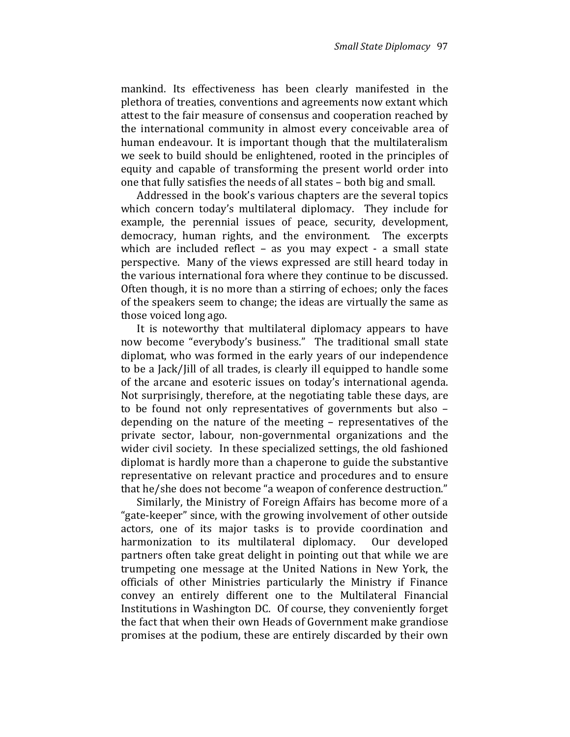mankind. Its effectiveness has been clearly manifested in the plethora of treaties, conventions and agreements now extant which attest to the fair measure of consensus and cooperation reached by the international community in almost every conceivable area of human endeavour. It is important though that the multilateralism we seek to build should be enlightened, rooted in the principles of equity and capable of transforming the present world order into one that fully satisfies the needs of all states – both big and small.

Addressed in the book's various chapters are the several topics which concern today's multilateral diplomacy. They include for example, the perennial issues of peace, security, development, democracy, human rights, and the environment. The excerpts which are included reflect – as you may expect - a small state perspective. Many of the views expressed are still heard today in the various international fora where they continue to be discussed. Often though, it is no more than a stirring of echoes; only the faces of the speakers seem to change; the ideas are virtually the same as those voiced long ago.

It is noteworthy that multilateral diplomacy appears to have now become "everybody's business." The traditional small state diplomat, who was formed in the early years of our independence to be a Jack/Jill of all trades, is clearly ill equipped to handle some of the arcane and esoteric issues on today's international agenda. Not surprisingly, therefore, at the negotiating table these days, are to be found not only representatives of governments but also – depending on the nature of the meeting – representatives of the private sector, labour, non-governmental organizations and the wider civil society. In these specialized settings, the old fashioned diplomat is hardly more than a chaperone to guide the substantive representative on relevant practice and procedures and to ensure that he/she does not become "a weapon of conference destruction."

Similarly, the Ministry of Foreign Affairs has become more of a "gate-keeper" since, with the growing involvement of other outside actors, one of its major tasks is to provide coordination and harmonization to its multilateral diplomacy. Our developed partners often take great delight in pointing out that while we are trumpeting one message at the United Nations in New York, the officials of other Ministries particularly the Ministry if Finance convey an entirely different one to the Multilateral Financial Institutions in Washington DC. Of course, they conveniently forget the fact that when their own Heads of Government make grandiose promises at the podium, these are entirely discarded by their own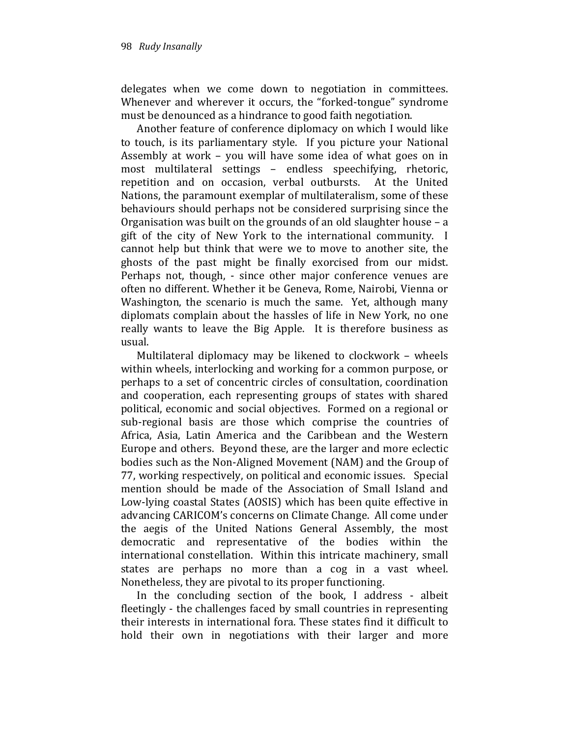delegates when we come down to negotiation in committees. Whenever and wherever it occurs, the "forked-tongue" syndrome must be denounced as a hindrance to good faith negotiation.

Another feature of conference diplomacy on which I would like to touch, is its parliamentary style. If you picture your National Assembly at work – you will have some idea of what goes on in most multilateral settings – endless speechifying, rhetoric, repetition and on occasion, verbal outbursts. At the United Nations, the paramount exemplar of multilateralism, some of these behaviours should perhaps not be considered surprising since the Organisation was built on the grounds of an old slaughter house – a gift of the city of New York to the international community. I cannot help but think that were we to move to another site, the ghosts of the past might be finally exorcised from our midst. Perhaps not, though, - since other major conference venues are often no different. Whether it be Geneva, Rome, Nairobi, Vienna or Washington, the scenario is much the same. Yet, although many diplomats complain about the hassles of life in New York, no one really wants to leave the Big Apple. It is therefore business as usual.

Multilateral diplomacy may be likened to clockwork – wheels within wheels, interlocking and working for a common purpose, or perhaps to a set of concentric circles of consultation, coordination and cooperation, each representing groups of states with shared political, economic and social objectives. Formed on a regional or sub-regional basis are those which comprise the countries of Africa, Asia, Latin America and the Caribbean and the Western Europe and others. Beyond these, are the larger and more eclectic bodies such as the Non-Aligned Movement (NAM) and the Group of 77, working respectively, on political and economic issues. Special mention should be made of the Association of Small Island and Low-lying coastal States (AOSIS) which has been quite effective in advancing CARICOM's concerns on Climate Change. All come under the aegis of the United Nations General Assembly, the most democratic and representative of the bodies within the international constellation. Within this intricate machinery, small states are perhaps no more than a cog in a vast wheel. Nonetheless, they are pivotal to its proper functioning.

In the concluding section of the book, I address - albeit fleetingly - the challenges faced by small countries in representing their interests in international fora. These states find it difficult to hold their own in negotiations with their larger and more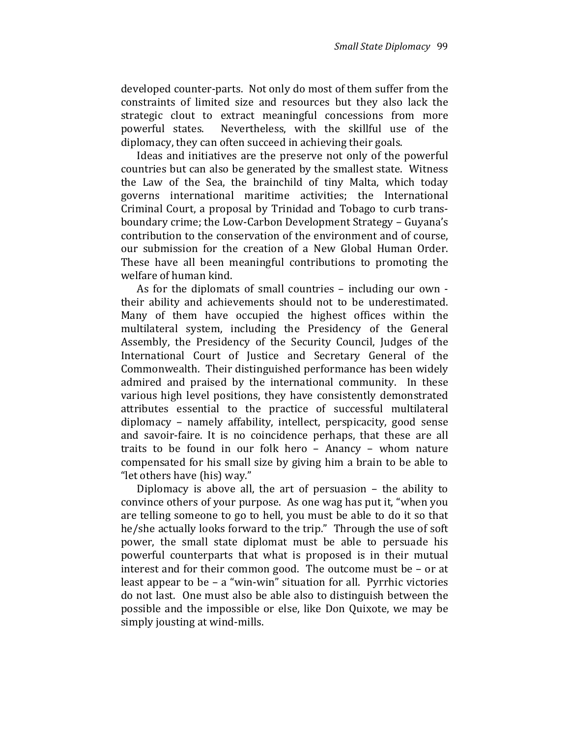developed counter-parts. Not only do most of them suffer from the constraints of limited size and resources but they also lack the strategic clout to extract meaningful concessions from more powerful states. Nevertheless, with the skillful use of the diplomacy, they can often succeed in achieving their goals.

Ideas and initiatives are the preserve not only of the powerful countries but can also be generated by the smallest state. Witness the Law of the Sea, the brainchild of tiny Malta, which today governs international maritime activities; the International Criminal Court, a proposal by Trinidad and Tobago to curb transboundary crime; the Low-Carbon Development Strategy – Guyana's contribution to the conservation of the environment and of course, our submission for the creation of a New Global Human Order. These have all been meaningful contributions to promoting the welfare of human kind.

As for the diplomats of small countries – including our own their ability and achievements should not to be underestimated. Many of them have occupied the highest offices within the multilateral system, including the Presidency of the General Assembly, the Presidency of the Security Council, Judges of the International Court of Justice and Secretary General of the Commonwealth. Their distinguished performance has been widely admired and praised by the international community. In these various high level positions, they have consistently demonstrated attributes essential to the practice of successful multilateral diplomacy – namely affability, intellect, perspicacity, good sense and savoir-faire. It is no coincidence perhaps, that these are all traits to be found in our folk hero – Anancy – whom nature compensated for his small size by giving him a brain to be able to "let others have (his) way."

Diplomacy is above all, the art of persuasion – the ability to convince others of your purpose. As one wag has put it, "when you are telling someone to go to hell, you must be able to do it so that he/she actually looks forward to the trip." Through the use of soft power, the small state diplomat must be able to persuade his powerful counterparts that what is proposed is in their mutual interest and for their common good. The outcome must be – or at least appear to be – a "win-win" situation for all. Pyrrhic victories do not last. One must also be able also to distinguish between the possible and the impossible or else, like Don Quixote, we may be simply jousting at wind-mills.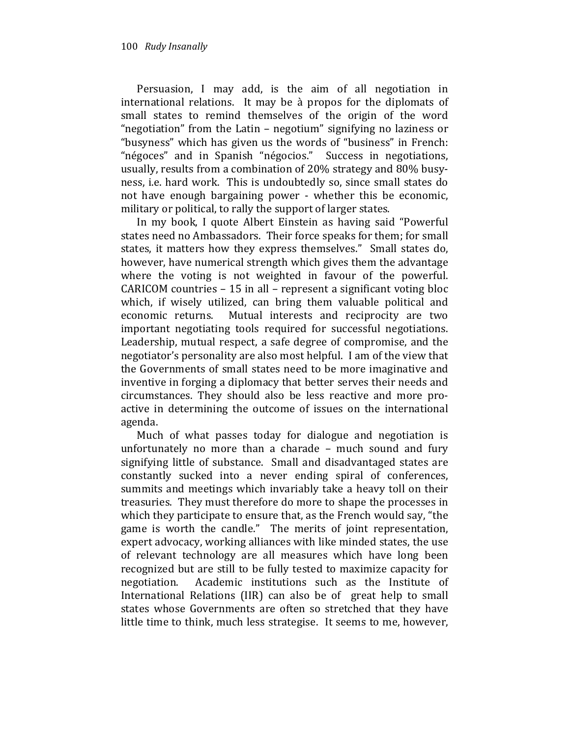Persuasion, I may add, is the aim of all negotiation in international relations. It may be à propos for the diplomats of small states to remind themselves of the origin of the word "negotiation" from the Latin – negotium" signifying no laziness or "busyness" which has given us the words of "business" in French: "négoces" and in Spanish "négocios." Success in negotiations, usually, results from a combination of 20% strategy and 80% busyness, i.e. hard work. This is undoubtedly so, since small states do not have enough bargaining power - whether this be economic, military or political, to rally the support of larger states.

In my book, I quote Albert Einstein as having said "Powerful states need no Ambassadors. Their force speaks for them; for small states, it matters how they express themselves." Small states do, however, have numerical strength which gives them the advantage where the voting is not weighted in favour of the powerful. CARICOM countries – 15 in all – represent a significant voting bloc which, if wisely utilized, can bring them valuable political and economic returns. Mutual interests and reciprocity are two important negotiating tools required for successful negotiations. Leadership, mutual respect, a safe degree of compromise, and the negotiator's personality are also most helpful. I am of the view that the Governments of small states need to be more imaginative and inventive in forging a diplomacy that better serves their needs and circumstances. They should also be less reactive and more proactive in determining the outcome of issues on the international agenda.

Much of what passes today for dialogue and negotiation is unfortunately no more than a charade – much sound and fury signifying little of substance. Small and disadvantaged states are constantly sucked into a never ending spiral of conferences, summits and meetings which invariably take a heavy toll on their treasuries. They must therefore do more to shape the processes in which they participate to ensure that, as the French would say, "the game is worth the candle." The merits of joint representation, expert advocacy, working alliances with like minded states, the use of relevant technology are all measures which have long been recognized but are still to be fully tested to maximize capacity for negotiation. Academic institutions such as the Institute of International Relations (IIR) can also be of great help to small states whose Governments are often so stretched that they have little time to think, much less strategise. It seems to me, however,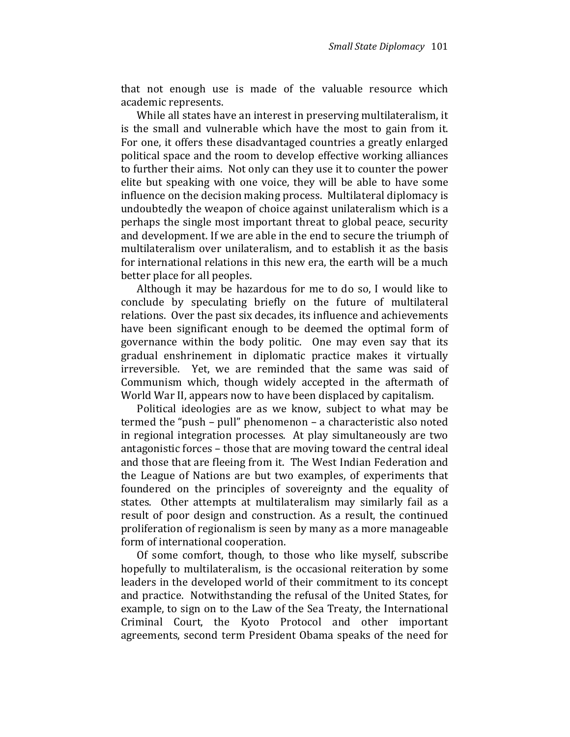that not enough use is made of the valuable resource which academic represents.

While all states have an interest in preserving multilateralism, it is the small and vulnerable which have the most to gain from it. For one, it offers these disadvantaged countries a greatly enlarged political space and the room to develop effective working alliances to further their aims. Not only can they use it to counter the power elite but speaking with one voice, they will be able to have some influence on the decision making process. Multilateral diplomacy is undoubtedly the weapon of choice against unilateralism which is a perhaps the single most important threat to global peace, security and development. If we are able in the end to secure the triumph of multilateralism over unilateralism, and to establish it as the basis for international relations in this new era, the earth will be a much better place for all peoples.

Although it may be hazardous for me to do so, I would like to conclude by speculating briefly on the future of multilateral relations. Over the past six decades, its influence and achievements have been significant enough to be deemed the optimal form of governance within the body politic. One may even say that its gradual enshrinement in diplomatic practice makes it virtually irreversible. Yet, we are reminded that the same was said of Communism which, though widely accepted in the aftermath of World War II, appears now to have been displaced by capitalism.

Political ideologies are as we know, subject to what may be termed the "push – pull" phenomenon – a characteristic also noted in regional integration processes. At play simultaneously are two antagonistic forces – those that are moving toward the central ideal and those that are fleeing from it. The West Indian Federation and the League of Nations are but two examples, of experiments that foundered on the principles of sovereignty and the equality of states. Other attempts at multilateralism may similarly fail as a result of poor design and construction. As a result, the continued proliferation of regionalism is seen by many as a more manageable form of international cooperation.

Of some comfort, though, to those who like myself, subscribe hopefully to multilateralism, is the occasional reiteration by some leaders in the developed world of their commitment to its concept and practice. Notwithstanding the refusal of the United States, for example, to sign on to the Law of the Sea Treaty, the International Criminal Court, the Kyoto Protocol and other important agreements, second term President Obama speaks of the need for